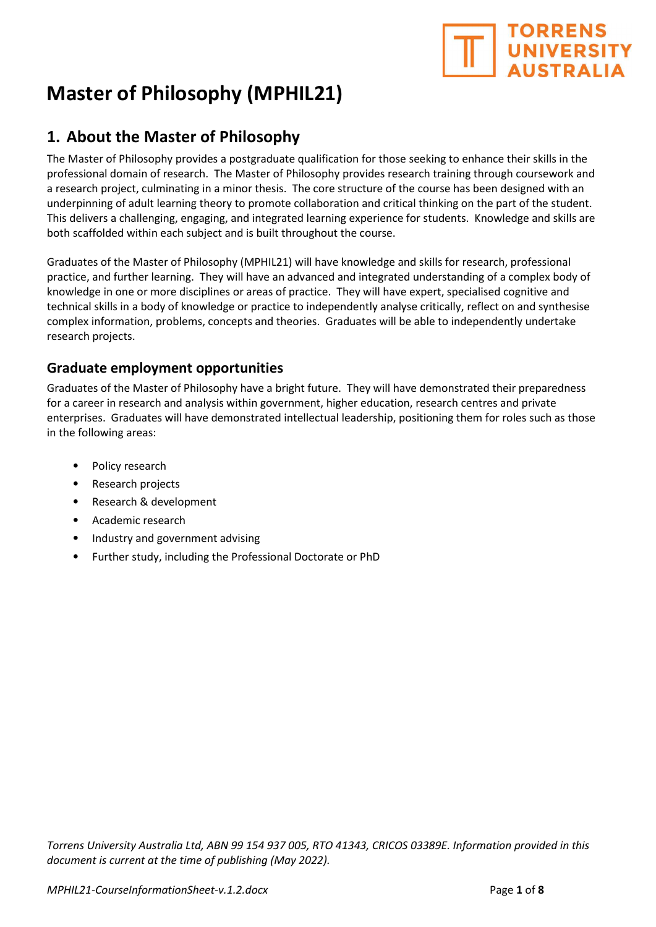# **TORRENS** UNIVERSITY

## Master of Philosophy (MPHIL21)

## 1. About the Master of Philosophy

The Master of Philosophy provides a postgraduate qualification for those seeking to enhance their skills in the professional domain of research. The Master of Philosophy provides research training through coursework and a research project, culminating in a minor thesis. The core structure of the course has been designed with an underpinning of adult learning theory to promote collaboration and critical thinking on the part of the student. This delivers a challenging, engaging, and integrated learning experience for students. Knowledge and skills are both scaffolded within each subject and is built throughout the course.

Graduates of the Master of Philosophy (MPHIL21) will have knowledge and skills for research, professional practice, and further learning. They will have an advanced and integrated understanding of a complex body of knowledge in one or more disciplines or areas of practice. They will have expert, specialised cognitive and technical skills in a body of knowledge or practice to independently analyse critically, reflect on and synthesise complex information, problems, concepts and theories. Graduates will be able to independently undertake research projects.

#### Graduate employment opportunities

Graduates of the Master of Philosophy have a bright future. They will have demonstrated their preparedness for a career in research and analysis within government, higher education, research centres and private enterprises. Graduates will have demonstrated intellectual leadership, positioning them for roles such as those in the following areas:

- Policy research
- Research projects
- Research & development
- Academic research
- Industry and government advising
- Further study, including the Professional Doctorate or PhD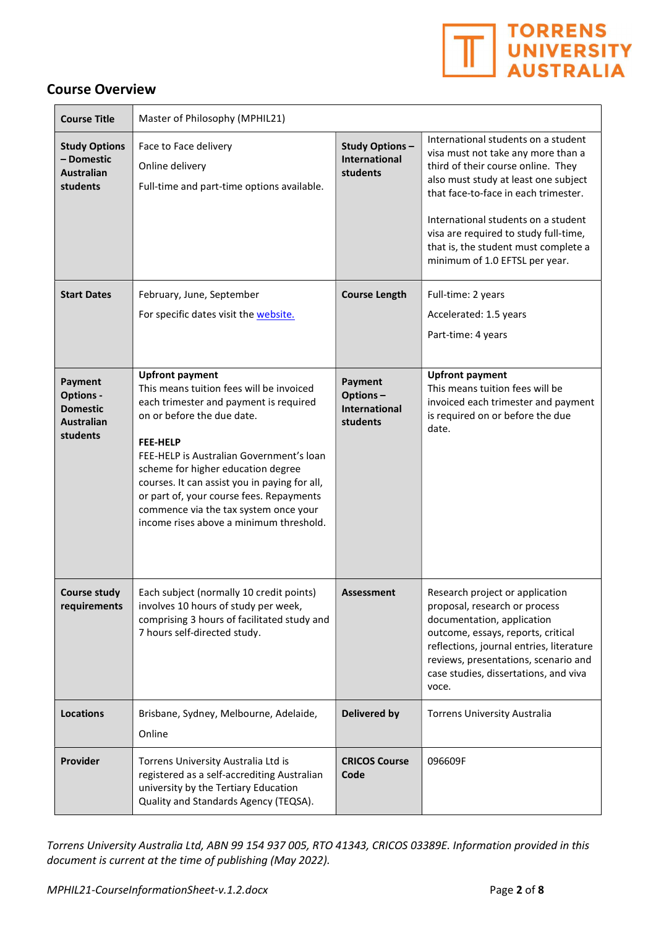

#### Course Overview

| <b>Course Title</b>                                                             | Master of Philosophy (MPHIL21)                                                                                                                                                                                                                                                                                                                                                                                                   |                                                           |                                                                                                                                                                                                                                                                                                                                                           |
|---------------------------------------------------------------------------------|----------------------------------------------------------------------------------------------------------------------------------------------------------------------------------------------------------------------------------------------------------------------------------------------------------------------------------------------------------------------------------------------------------------------------------|-----------------------------------------------------------|-----------------------------------------------------------------------------------------------------------------------------------------------------------------------------------------------------------------------------------------------------------------------------------------------------------------------------------------------------------|
| <b>Study Options</b><br>- Domestic<br><b>Australian</b><br>students             | Face to Face delivery<br>Online delivery<br>Full-time and part-time options available.                                                                                                                                                                                                                                                                                                                                           | <b>Study Options-</b><br><b>International</b><br>students | International students on a student<br>visa must not take any more than a<br>third of their course online. They<br>also must study at least one subject<br>that face-to-face in each trimester.<br>International students on a student<br>visa are required to study full-time,<br>that is, the student must complete a<br>minimum of 1.0 EFTSL per year. |
| <b>Start Dates</b>                                                              | February, June, September<br>For specific dates visit the website.                                                                                                                                                                                                                                                                                                                                                               | <b>Course Length</b>                                      | Full-time: 2 years<br>Accelerated: 1.5 years<br>Part-time: 4 years                                                                                                                                                                                                                                                                                        |
| Payment<br><b>Options -</b><br><b>Domestic</b><br><b>Australian</b><br>students | <b>Upfront payment</b><br>This means tuition fees will be invoiced<br>each trimester and payment is required<br>on or before the due date.<br><b>FEE-HELP</b><br>FEE-HELP is Australian Government's loan<br>scheme for higher education degree<br>courses. It can assist you in paying for all,<br>or part of, your course fees. Repayments<br>commence via the tax system once your<br>income rises above a minimum threshold. | Payment<br>Options-<br><b>International</b><br>students   | <b>Upfront payment</b><br>This means tuition fees will be<br>invoiced each trimester and payment<br>is required on or before the due<br>date.                                                                                                                                                                                                             |
| <b>Course study</b><br>requirements                                             | Each subject (normally 10 credit points)<br>involves 10 hours of study per week,<br>comprising 3 hours of facilitated study and<br>7 hours self-directed study.                                                                                                                                                                                                                                                                  | <b>Assessment</b>                                         | Research project or application<br>proposal, research or process<br>documentation, application<br>outcome, essays, reports, critical<br>reflections, journal entries, literature<br>reviews, presentations, scenario and<br>case studies, dissertations, and viva<br>voce.                                                                                |
| <b>Locations</b>                                                                | Brisbane, Sydney, Melbourne, Adelaide,<br>Online                                                                                                                                                                                                                                                                                                                                                                                 | <b>Delivered by</b>                                       | <b>Torrens University Australia</b>                                                                                                                                                                                                                                                                                                                       |
| Provider                                                                        | Torrens University Australia Ltd is<br>registered as a self-accrediting Australian<br>university by the Tertiary Education<br>Quality and Standards Agency (TEQSA).                                                                                                                                                                                                                                                              | <b>CRICOS Course</b><br>Code                              | 096609F                                                                                                                                                                                                                                                                                                                                                   |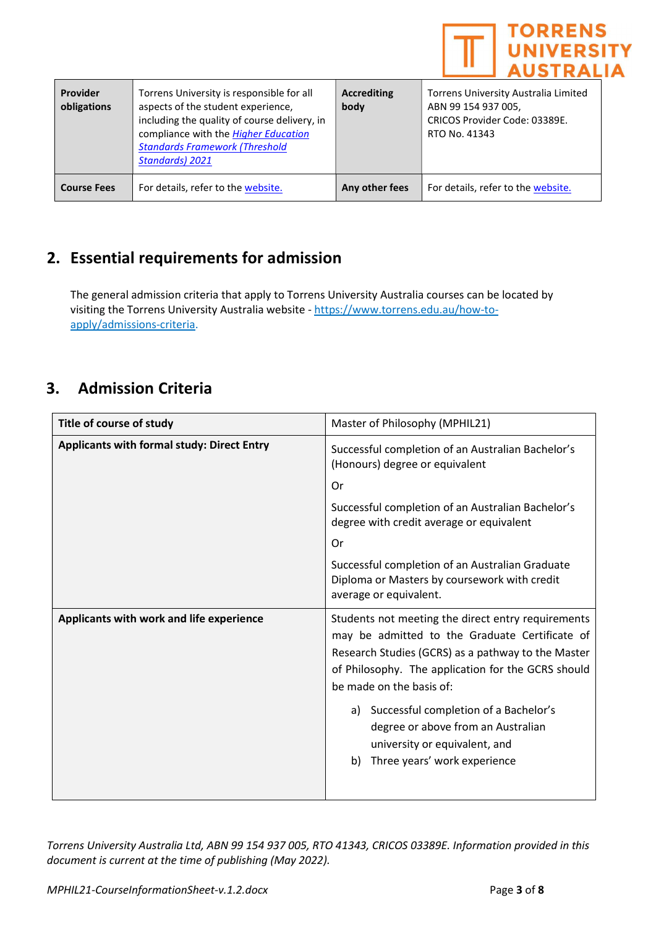

| Provider<br>obligations | Torrens University is responsible for all<br>aspects of the student experience,<br>including the quality of course delivery, in<br>compliance with the <b>Higher Education</b><br><b>Standards Framework (Threshold</b><br><b>Standards) 2021</b> | <b>Accrediting</b><br>body | Torrens University Australia Limited<br>ABN 99 154 937 005,<br>CRICOS Provider Code: 03389E.<br>RTO No. 41343 |
|-------------------------|---------------------------------------------------------------------------------------------------------------------------------------------------------------------------------------------------------------------------------------------------|----------------------------|---------------------------------------------------------------------------------------------------------------|
| <b>Course Fees</b>      | For details, refer to the website.                                                                                                                                                                                                                | Any other fees             | For details, refer to the website.                                                                            |

## 2. Essential requirements for admission

The general admission criteria that apply to Torrens University Australia courses can be located by visiting the Torrens University Australia website - https://www.torrens.edu.au/how-toapply/admissions-criteria.

### 3. Admission Criteria

| Title of course of study                          | Master of Philosophy (MPHIL21)                                                                                                                                                                                                                                                                                                                                                                        |  |
|---------------------------------------------------|-------------------------------------------------------------------------------------------------------------------------------------------------------------------------------------------------------------------------------------------------------------------------------------------------------------------------------------------------------------------------------------------------------|--|
| <b>Applicants with formal study: Direct Entry</b> | Successful completion of an Australian Bachelor's<br>(Honours) degree or equivalent                                                                                                                                                                                                                                                                                                                   |  |
|                                                   | Or                                                                                                                                                                                                                                                                                                                                                                                                    |  |
|                                                   | Successful completion of an Australian Bachelor's<br>degree with credit average or equivalent                                                                                                                                                                                                                                                                                                         |  |
|                                                   | Or                                                                                                                                                                                                                                                                                                                                                                                                    |  |
|                                                   | Successful completion of an Australian Graduate<br>Diploma or Masters by coursework with credit<br>average or equivalent.                                                                                                                                                                                                                                                                             |  |
| Applicants with work and life experience          | Students not meeting the direct entry requirements<br>may be admitted to the Graduate Certificate of<br>Research Studies (GCRS) as a pathway to the Master<br>of Philosophy. The application for the GCRS should<br>be made on the basis of:<br>a) Successful completion of a Bachelor's<br>degree or above from an Australian<br>university or equivalent, and<br>Three years' work experience<br>b) |  |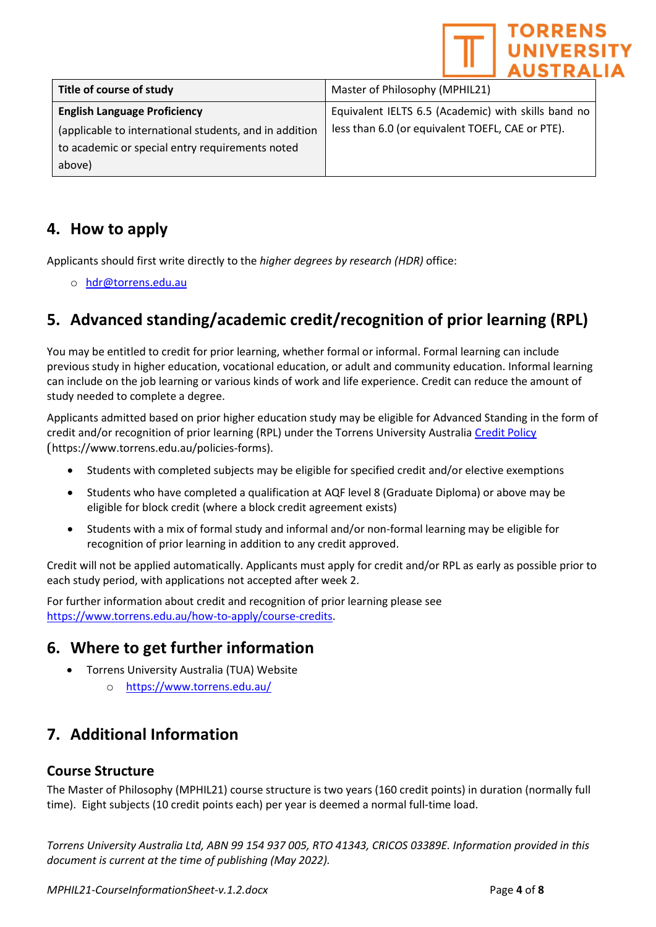|                                                        | <b>TORRENS</b><br><b>UNIVERSITY</b><br><b>AUSTRALIA</b> |  |
|--------------------------------------------------------|---------------------------------------------------------|--|
| Title of course of study                               | Master of Philosophy (MPHIL21)                          |  |
| <b>English Language Proficiency</b>                    | Equivalent IELTS 6.5 (Academic) with skills band no     |  |
| (applicable to international students, and in addition | less than 6.0 (or equivalent TOEFL, CAE or PTE).        |  |
| to academic or special entry requirements noted        |                                                         |  |
| above)                                                 |                                                         |  |

## 4. How to apply

Applicants should first write directly to the higher degrees by research (HDR) office:

o hdr@torrens.edu.au

## 5. Advanced standing/academic credit/recognition of prior learning (RPL)

You may be entitled to credit for prior learning, whether formal or informal. Formal learning can include previous study in higher education, vocational education, or adult and community education. Informal learning can include on the job learning or various kinds of work and life experience. Credit can reduce the amount of study needed to complete a degree.

Applicants admitted based on prior higher education study may be eligible for Advanced Standing in the form of credit and/or recognition of prior learning (RPL) under the Torrens University Australia Credit Policy (https://www.torrens.edu.au/policies-forms).

- Students with completed subjects may be eligible for specified credit and/or elective exemptions
- Students who have completed a qualification at AQF level 8 (Graduate Diploma) or above may be eligible for block credit (where a block credit agreement exists)
- Students with a mix of formal study and informal and/or non-formal learning may be eligible for recognition of prior learning in addition to any credit approved.

Credit will not be applied automatically. Applicants must apply for credit and/or RPL as early as possible prior to each study period, with applications not accepted after week 2.

For further information about credit and recognition of prior learning please see https://www.torrens.edu.au/how-to-apply/course-credits.

## 6. Where to get further information

- Torrens University Australia (TUA) Website
	- o https://www.torrens.edu.au/

## 7. Additional Information

#### Course Structure

The Master of Philosophy (MPHIL21) course structure is two years (160 credit points) in duration (normally full time). Eight subjects (10 credit points each) per year is deemed a normal full-time load.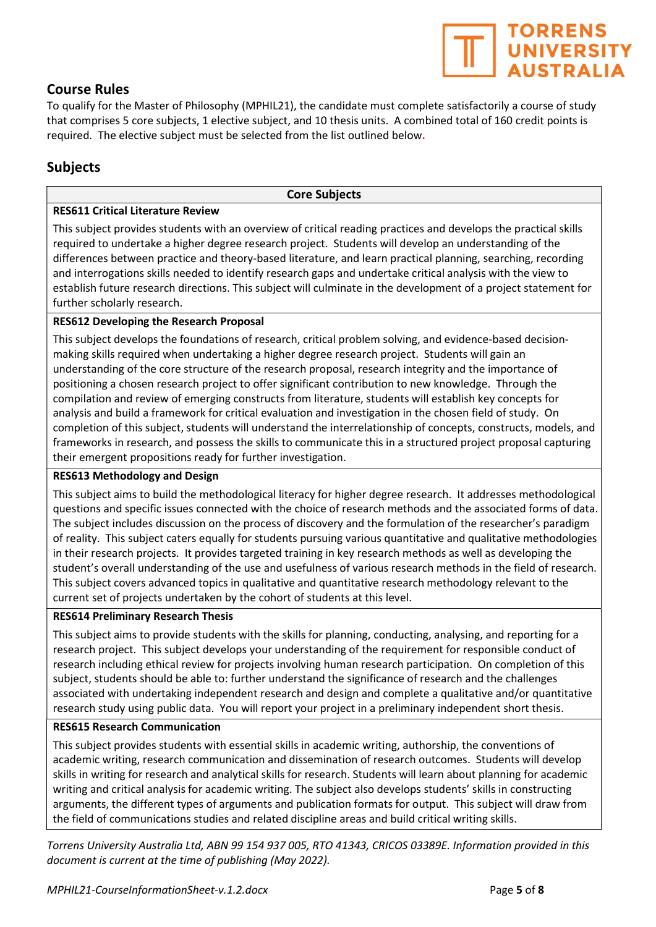#### Course Rules

To qualify for the Master of Philosophy (MPHIL21), the candidate must complete satisfactorily a course of study that comprises 5 core subjects, 1 elective subject, and 10 thesis units. A combined total of 160 credit points is required. The elective subject must be selected from the list outlined below.

#### Subjects

#### Core Subjects

#### RES611 Critical Literature Review

This subject provides students with an overview of critical reading practices and develops the practical skills required to undertake a higher degree research project. Students will develop an understanding of the differences between practice and theory-based literature, and learn practical planning, searching, recording and interrogations skills needed to identify research gaps and undertake critical analysis with the view to establish future research directions. This subject will culminate in the development of a project statement for further scholarly research.

#### RES612 Developing the Research Proposal

This subject develops the foundations of research, critical problem solving, and evidence-based decisionmaking skills required when undertaking a higher degree research project. Students will gain an understanding of the core structure of the research proposal, research integrity and the importance of positioning a chosen research project to offer significant contribution to new knowledge. Through the compilation and review of emerging constructs from literature, students will establish key concepts for analysis and build a framework for critical evaluation and investigation in the chosen field of study. On completion of this subject, students will understand the interrelationship of concepts, constructs, models, and frameworks in research, and possess the skills to communicate this in a structured project proposal capturing their emergent propositions ready for further investigation.

#### RES613 Methodology and Design

This subject aims to build the methodological literacy for higher degree research. It addresses methodological questions and specific issues connected with the choice of research methods and the associated forms of data. The subject includes discussion on the process of discovery and the formulation of the researcher's paradigm of reality. This subject caters equally for students pursuing various quantitative and qualitative methodologies in their research projects. It provides targeted training in key research methods as well as developing the student's overall understanding of the use and usefulness of various research methods in the field of research. This subject covers advanced topics in qualitative and quantitative research methodology relevant to the current set of projects undertaken by the cohort of students at this level.

#### RES614 Preliminary Research Thesis

This subject aims to provide students with the skills for planning, conducting, analysing, and reporting for a research project. This subject develops your understanding of the requirement for responsible conduct of research including ethical review for projects involving human research participation. On completion of this subject, students should be able to: further understand the significance of research and the challenges associated with undertaking independent research and design and complete a qualitative and/or quantitative research study using public data. You will report your project in a preliminary independent short thesis.

#### RES615 Research Communication

This subject provides students with essential skills in academic writing, authorship, the conventions of academic writing, research communication and dissemination of research outcomes. Students will develop skills in writing for research and analytical skills for research. Students will learn about planning for academic writing and critical analysis for academic writing. The subject also develops students' skills in constructing arguments, the different types of arguments and publication formats for output. This subject will draw from the field of communications studies and related discipline areas and build critical writing skills.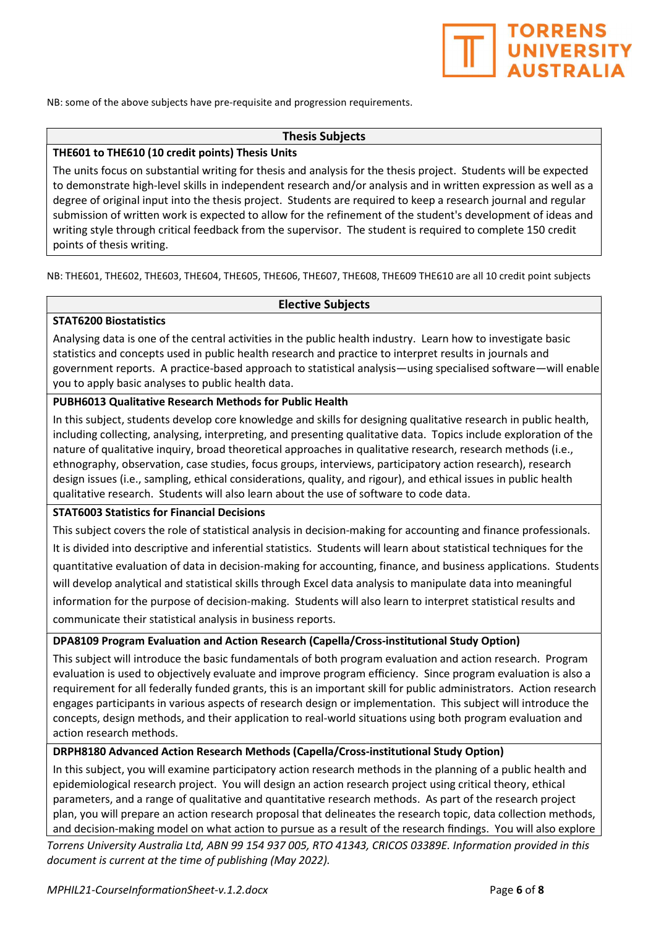

NB: some of the above subjects have pre-requisite and progression requirements.

#### Thesis Subjects

#### THE601 to THE610 (10 credit points) Thesis Units

The units focus on substantial writing for thesis and analysis for the thesis project. Students will be expected to demonstrate high-level skills in independent research and/or analysis and in written expression as well as a degree of original input into the thesis project. Students are required to keep a research journal and regular submission of written work is expected to allow for the refinement of the student's development of ideas and writing style through critical feedback from the supervisor. The student is required to complete 150 credit points of thesis writing.

NB: THE601, THE602, THE603, THE604, THE605, THE606, THE607, THE608, THE609 THE610 are all 10 credit point subjects

#### Elective Subjects

#### STAT6200 Biostatistics

Analysing data is one of the central activities in the public health industry. Learn how to investigate basic statistics and concepts used in public health research and practice to interpret results in journals and government reports. A practice-based approach to statistical analysis—using specialised software—will enable you to apply basic analyses to public health data.

#### PUBH6013 Qualitative Research Methods for Public Health

In this subject, students develop core knowledge and skills for designing qualitative research in public health, including collecting, analysing, interpreting, and presenting qualitative data. Topics include exploration of the nature of qualitative inquiry, broad theoretical approaches in qualitative research, research methods (i.e., ethnography, observation, case studies, focus groups, interviews, participatory action research), research design issues (i.e., sampling, ethical considerations, quality, and rigour), and ethical issues in public health qualitative research. Students will also learn about the use of software to code data.

#### STAT6003 Statistics for Financial Decisions

This subject covers the role of statistical analysis in decision-making for accounting and finance professionals. It is divided into descriptive and inferential statistics. Students will learn about statistical techniques for the quantitative evaluation of data in decision-making for accounting, finance, and business applications. Students will develop analytical and statistical skills through Excel data analysis to manipulate data into meaningful information for the purpose of decision-making. Students will also learn to interpret statistical results and communicate their statistical analysis in business reports.

#### DPA8109 Program Evaluation and Action Research (Capella/Cross-institutional Study Option)

This subject will introduce the basic fundamentals of both program evaluation and action research. Program evaluation is used to objectively evaluate and improve program efficiency. Since program evaluation is also a requirement for all federally funded grants, this is an important skill for public administrators. Action research engages participants in various aspects of research design or implementation. This subject will introduce the concepts, design methods, and their application to real-world situations using both program evaluation and action research methods.

#### DRPH8180 Advanced Action Research Methods (Capella/Cross-institutional Study Option)

In this subject, you will examine participatory action research methods in the planning of a public health and epidemiological research project. You will design an action research project using critical theory, ethical parameters, and a range of qualitative and quantitative research methods. As part of the research project plan, you will prepare an action research proposal that delineates the research topic, data collection methods, and decision-making model on what action to pursue as a result of the research findings. You will also explore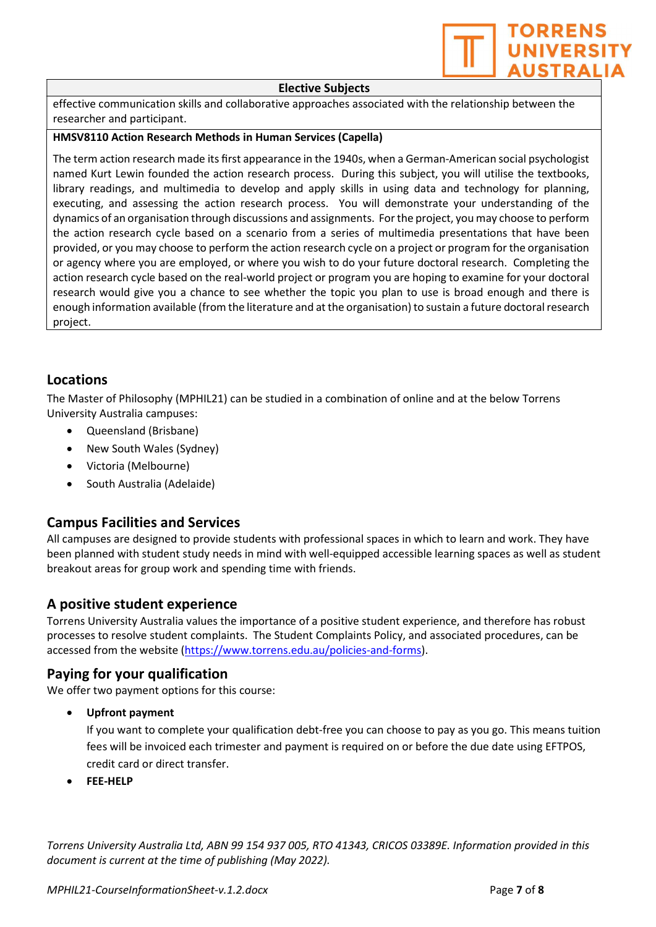

#### Elective Subjects

effective communication skills and collaborative approaches associated with the relationship between the researcher and participant.

#### HMSV8110 Action Research Methods in Human Services (Capella)

The term action research made its first appearance in the 1940s, when a German-American social psychologist named Kurt Lewin founded the action research process. During this subject, you will utilise the textbooks, library readings, and multimedia to develop and apply skills in using data and technology for planning, executing, and assessing the action research process. You will demonstrate your understanding of the dynamics of an organisation through discussions and assignments. For the project, you may choose to perform the action research cycle based on a scenario from a series of multimedia presentations that have been provided, or you may choose to perform the action research cycle on a project or program for the organisation or agency where you are employed, or where you wish to do your future doctoral research. Completing the action research cycle based on the real-world project or program you are hoping to examine for your doctoral research would give you a chance to see whether the topic you plan to use is broad enough and there is enough information available (from the literature and at the organisation) to sustain a future doctoral research project.

#### Locations

The Master of Philosophy (MPHIL21) can be studied in a combination of online and at the below Torrens University Australia campuses:

- Queensland (Brisbane)
- New South Wales (Sydney)
- Victoria (Melbourne)
- South Australia (Adelaide)

#### Campus Facilities and Services

All campuses are designed to provide students with professional spaces in which to learn and work. They have been planned with student study needs in mind with well-equipped accessible learning spaces as well as student breakout areas for group work and spending time with friends.

#### A positive student experience

Torrens University Australia values the importance of a positive student experience, and therefore has robust processes to resolve student complaints. The Student Complaints Policy, and associated procedures, can be accessed from the website (https://www.torrens.edu.au/policies-and-forms).

#### Paying for your qualification

We offer two payment options for this course:

Upfront payment

If you want to complete your qualification debt-free you can choose to pay as you go. This means tuition fees will be invoiced each trimester and payment is required on or before the due date using EFTPOS, credit card or direct transfer.

FEE-HELP